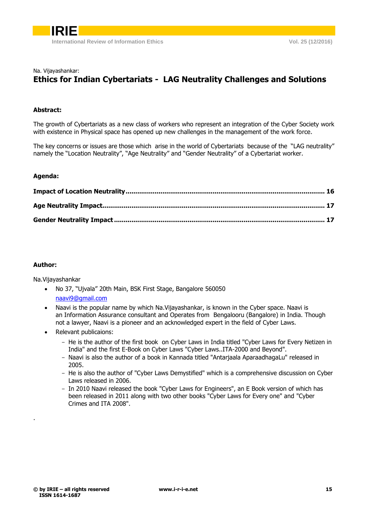

### Na. Vijayashankar: **Ethics for Indian Cybertariats - LAG Neutrality Challenges and Solutions**

#### **Abstract:**

The growth of Cybertariats as a new class of workers who represent an integration of the Cyber Society work with existence in Physical space has opened up new challenges in the management of the work force.

The key concerns or issues are those which arise in the world of Cybertariats because of the "LAG neutrality" namely the "Location Neutrality", "Age Neutrality" and "Gender Neutrality" of a Cybertariat worker.

#### **Agenda:**

#### **Author:**

<span id="page-0-0"></span>.

Na.Vijayashankar

- No 37, "Ujvala" 20th Main, BSK First Stage, Bangalore 560050 [naavi9@gmail.com](mailto:naavi9@gmail.com)
- Naavi is the popular name by which Na.Vijayashankar, is known in the Cyber space. Naavi is an Information Assurance consultant and Operates from Bengalooru (Bangalore) in India. Though not a lawyer, Naavi is a pioneer and an acknowledged expert in the field of Cyber Laws.
- Relevant publicaions:
	- He is the author of the first book on Cyber Laws in India titled "Cyber Laws for Every Netizen in India" and the first E-Book on Cyber Laws "Cyber Laws..ITA-2000 and Beyond".
	- Naavi is also the author of a book in Kannada titled "Antarjaala AparaadhagaLu" released in 2005.
	- He is also the author of "Cyber Laws Demystified" which is a comprehensive discussion on Cyber Laws released in 2006.
	- In 2010 Naavi released the book "Cyber Laws for Engineers", an E Book version of which has been released in 2011 along with two other books "Cyber Laws for Every one" and "Cyber Crimes and ITA 2008".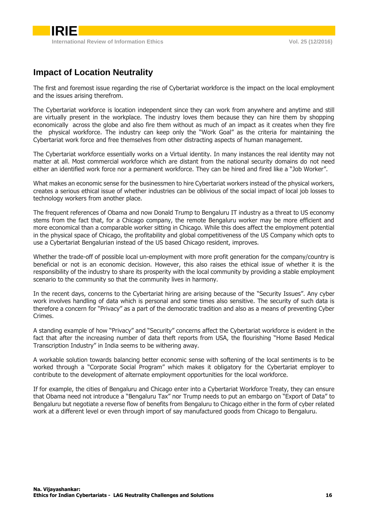

# **Impact of Location Neutrality**

The first and foremost issue regarding the rise of Cybertariat workforce is the impact on the local employment and the issues arising therefrom.

The Cybertariat workforce is location independent since they can work from anywhere and anytime and still are virtually present in the workplace. The industry loves them because they can hire them by shopping economically across the globe and also fire them without as much of an impact as it creates when they fire the physical workforce. The industry can keep only the "Work Goal" as the criteria for maintaining the Cybertariat work force and free themselves from other distracting aspects of human management.

The Cybertariat workforce essentially works on a Virtual identity. In many instances the real identity may not matter at all. Most commercial workforce which are distant from the national security domains do not need either an identified work force nor a permanent workforce. They can be hired and fired like a "Job Worker".

What makes an economic sense for the businessmen to hire Cybertariat workers instead of the physical workers, creates a serious ethical issue of whether industries can be oblivious of the social impact of local job losses to technology workers from another place.

The frequent references of Obama and now Donald Trump to Bengaluru IT industry as a threat to US economy stems from the fact that, for a Chicago company, the remote Bengaluru worker may be more efficient and more economical than a comparable worker sitting in Chicago. While this does affect the employment potential in the physical space of Chicago, the profitability and global competitiveness of the US Company which opts to use a Cybertariat Bengalurian instead of the US based Chicago resident, improves.

Whether the trade-off of possible local un-employment with more profit generation for the company/country is beneficial or not is an economic decision. However, this also raises the ethical issue of whether it is the responsibility of the industry to share its prosperity with the local community by providing a stable employment scenario to the community so that the community lives in harmony.

In the recent days, concerns to the Cybertariat hiring are arising because of the "Security Issues". Any cyber work involves handling of data which is personal and some times also sensitive. The security of such data is therefore a concern for "Privacy" as a part of the democratic tradition and also as a means of preventing Cyber Crimes.

A standing example of how "Privacy" and "Security" concerns affect the Cybertariat workforce is evident in the fact that after the increasing number of data theft reports from USA, the flourishing "Home Based Medical Transcription Industry" in India seems to be withering away.

A workable solution towards balancing better economic sense with softening of the local sentiments is to be worked through a "Corporate Social Program" which makes it obligatory for the Cybertariat employer to contribute to the development of alternate employment opportunities for the local workforce.

If for example, the cities of Bengaluru and Chicago enter into a Cybertariat Workforce Treaty, they can ensure that Obama need not introduce a "Bengaluru Tax" nor Trump needs to put an embargo on "Export of Data" to Bengaluru but negotiate a reverse flow of benefits from Bengaluru to Chicago either in the form of cyber related work at a different level or even through import of say manufactured goods from Chicago to Bengaluru.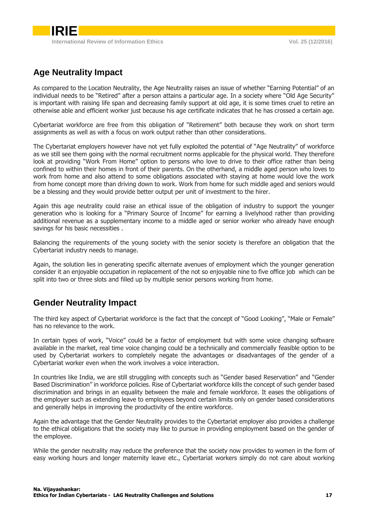# <span id="page-2-0"></span>**Age Neutrality Impact**

As compared to the Location Neutrality, the Age Neutrality raises an issue of whether "Earning Potential" of an individual needs to be "Retired" after a person attains a particular age. In a society where "Old Age Security" is important with raising life span and decreasing family support at old age, it is some times cruel to retire an otherwise able and efficient worker just because his age certificate indicates that he has crossed a certain age.

Cybertariat workforce are free from this obligation of "Retirement" both because they work on short term assignments as well as with a focus on work output rather than other considerations.

The Cybertariat employers however have not yet fully exploited the potential of "Age Neutrality" of workforce as we still see them going with the normal recruitment norms applicable for the physical world. They therefore look at providing "Work From Home" option to persons who love to drive to their office rather than being confined to within their homes in front of their parents. On the otherhand, a middle aged person who loves to work from home and also attend to some obligations associated with staying at home would love the work from home concept more than driving down to work. Work from home for such middle aged and seniors would be a blessing and they would provide better output per unit of investment to the hirer.

Again this age neutrality could raise an ethical issue of the obligation of industry to support the younger generation who is looking for a "Primary Source of Income" for earning a livelyhood rather than providing additional revenue as a supplementary income to a middle aged or senior worker who already have enough savings for his basic necessities .

Balancing the requirements of the young society with the senior society is therefore an obligation that the Cybertariat industry needs to manage.

Again, the solution lies in generating specific alternate avenues of employment which the younger generation consider it an enjoyable occupation in replacement of the not so enjoyable nine to five office job which can be split into two or three slots and filled up by multiple senior persons working from home.

## <span id="page-2-1"></span>**Gender Neutrality Impact**

The third key aspect of Cybertariat workforce is the fact that the concept of "Good Looking", "Male or Female" has no relevance to the work.

In certain types of work, "Voice" could be a factor of employment but with some voice changing software available in the market, real time voice changing could be a technically and commercially feasible option to be used by Cybertariat workers to completely negate the advantages or disadvantages of the gender of a Cybertariat worker even when the work involves a voice interaction.

In countries like India, we are still struggling with concepts such as "Gender based Reservation" and "Gender Based Discrimination" in workforce policies. Rise of Cybertariat workforce kills the concept of such gender based discrimination and brings in an equality between the male and female workforce. It eases the obligations of the employer such as extending leave to employees beyond certain limits only on gender based considerations and generally helps in improving the productivity of the entire workforce.

Again the advantage that the Gender Neutrality provides to the Cybertariat employer also provides a challenge to the ethical obligations that the society may like to pursue in providing employment based on the gender of the employee.

While the gender neutrality may reduce the preference that the society now provides to women in the form of easy working hours and longer maternity leave etc., Cybertariat workers simply do not care about working